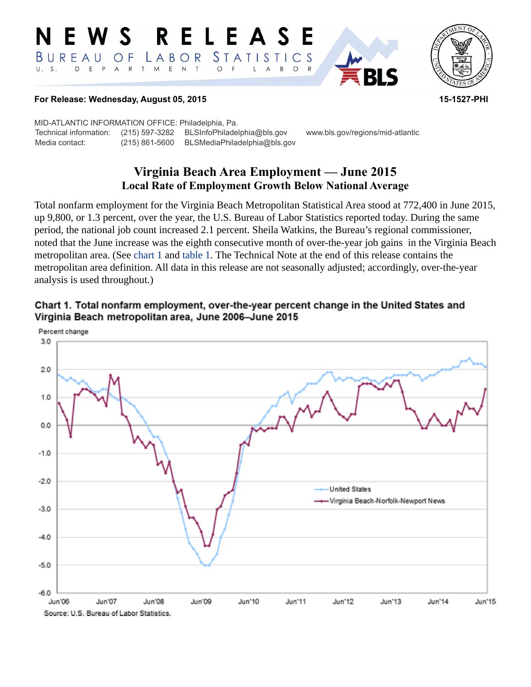#### RELEASE **N E W S** *STATISTICS* LABOR  $B$  U R E A U  $\overline{O}$  F D E P A R T M E N  $\top$  $\circ$  $U. S.$  $\mathsf{L}$  $\overline{A}$  $B$  $\circ$



#### **For Release: Wednesday, August 05, 2015 15-1527-PHI**

MID-ATLANTIC INFORMATION OFFICE: Philadelphia, Pa. Technical information: (215) 597-3282 BLSInfoPhiladelphia@bls.gov www.bls.gov/regions/mid-atlantic Media contact: (215) 861-5600 BLSMediaPhiladelphia@bls.gov

# **Virginia Beach Area Employment — June 2015 Local Rate of Employment Growth Below National Average**

Total nonfarm employment for the Virginia Beach Metropolitan Statistical Area stood at 772,400 in June 2015, up 9,800, or 1.3 percent, over the year, the U.S. Bureau of Labor Statistics reported today. During the same period, the national job count increased 2.1 percent. Sheila Watkins, the Bureau's regional commissioner, noted that the June increase was the eighth consecutive month of over-the-year job gains in the Virginia Beach metropolitan area. (See [chart 1](#page-0-0) and table 1. The Technical Note at the end of this release contains the metropolitan area definition. All data in this release are not seasonally adjusted; accordingly, over-the-year analysis is used throughout.)

<span id="page-0-0"></span>

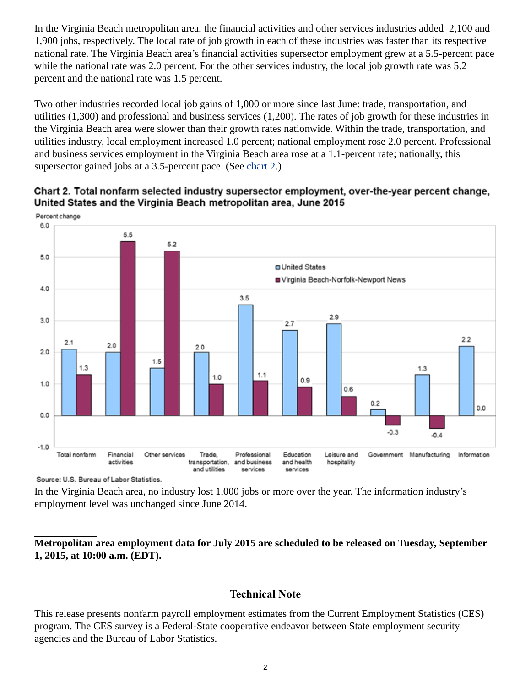In the Virginia Beach metropolitan area, the financial activities and other services industries added 2,100 and 1,900 jobs, respectively. The local rate of job growth in each of these industries was faster than its respective national rate. The Virginia Beach area's financial activities supersector employment grew at a 5.5-percent pace while the national rate was 2.0 percent. For the other services industry, the local job growth rate was 5.2 percent and the national rate was 1.5 percent.

Two other industries recorded local job gains of 1,000 or more since last June: trade, transportation, and utilities (1,300) and professional and business services (1,200). The rates of job growth for these industries in the Virginia Beach area were slower than their growth rates nationwide. Within the trade, transportation, and utilities industry, local employment increased 1.0 percent; national employment rose 2.0 percent. Professional and business services employment in the Virginia Beach area rose at a 1.1-percent rate; nationally, this supersector gained jobs at a 3.5-percent pace. (See [chart 2.](#page-1-0))



## <span id="page-1-0"></span>Chart 2. Total nonfarm selected industry supersector employment, over-the-year percent change, United States and the Virginia Beach metropolitan area, June 2015

Source: U.S. Bureau of Labor Statistics.

In the Virginia Beach area, no industry lost 1,000 jobs or more over the year. The information industry's employment level was unchanged since June 2014.

## **Metropolitan area employment data for July 2015 are scheduled to be released on Tuesday, September 1, 2015, at 10:00 a.m. (EDT).**

## **Technical Note**

This release presents nonfarm payroll employment estimates from the Current Employment Statistics (CES) program. The CES survey is a Federal-State cooperative endeavor between State employment security agencies and the Bureau of Labor Statistics.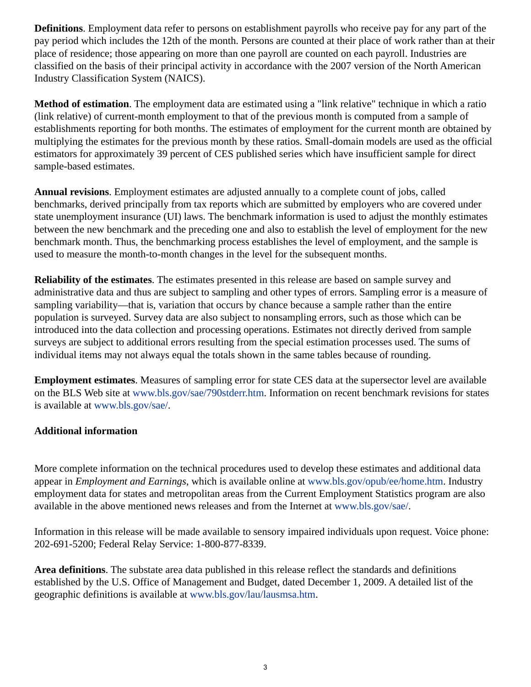**Definitions**. Employment data refer to persons on establishment payrolls who receive pay for any part of the pay period which includes the 12th of the month. Persons are counted at their place of work rather than at their place of residence; those appearing on more than one payroll are counted on each payroll. Industries are classified on the basis of their principal activity in accordance with the 2007 version of the North American Industry Classification System (NAICS).

**Method of estimation**. The employment data are estimated using a "link relative" technique in which a ratio (link relative) of current-month employment to that of the previous month is computed from a sample of establishments reporting for both months. The estimates of employment for the current month are obtained by multiplying the estimates for the previous month by these ratios. Small-domain models are used as the official estimators for approximately 39 percent of CES published series which have insufficient sample for direct sample-based estimates.

**Annual revisions**. Employment estimates are adjusted annually to a complete count of jobs, called benchmarks, derived principally from tax reports which are submitted by employers who are covered under state unemployment insurance (UI) laws. The benchmark information is used to adjust the monthly estimates between the new benchmark and the preceding one and also to establish the level of employment for the new benchmark month. Thus, the benchmarking process establishes the level of employment, and the sample is used to measure the month-to-month changes in the level for the subsequent months.

**Reliability of the estimates**. The estimates presented in this release are based on sample survey and administrative data and thus are subject to sampling and other types of errors. Sampling error is a measure of sampling variability—that is, variation that occurs by chance because a sample rather than the entire population is surveyed. Survey data are also subject to nonsampling errors, such as those which can be introduced into the data collection and processing operations. Estimates not directly derived from sample surveys are subject to additional errors resulting from the special estimation processes used. The sums of individual items may not always equal the totals shown in the same tables because of rounding.

**Employment estimates**. Measures of sampling error for state CES data at the supersector level are available on the BLS Web site at [www.bls.gov/sae/790stderr.htm](http://www.bls.gov/sae/790stderr.htm). Information on recent benchmark revisions for states is available at [www.bls.gov/sae/.](http://www.bls.gov/sae/)

## **Additional information**

More complete information on the technical procedures used to develop these estimates and additional data appear in *Employment and Earnings*, which is available online at [www.bls.gov/opub/ee/home.htm](http://www.bls.gov/opub/ee/home.htm). Industry employment data for states and metropolitan areas from the Current Employment Statistics program are also available in the above mentioned news releases and from the Internet at [www.bls.gov/sae/](http://www.bls.gov/sae/).

Information in this release will be made available to sensory impaired individuals upon request. Voice phone: 202-691-5200; Federal Relay Service: 1-800-877-8339.

**Area definitions**. The substate area data published in this release reflect the standards and definitions established by the U.S. Office of Management and Budget, dated December 1, 2009. A detailed list of the geographic definitions is available at [www.bls.gov/lau/lausmsa.htm.](http://www.bls.gov/lau/lausmsa.htm)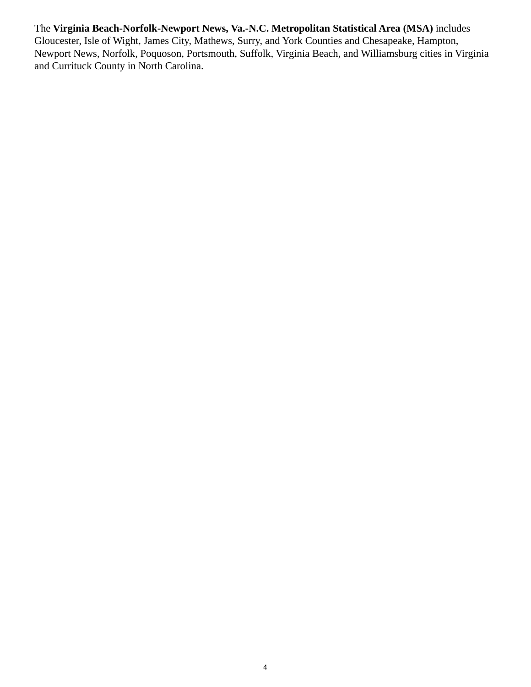The **Virginia Beach-Norfolk-Newport News, Va.-N.C. Metropolitan Statistical Area (MSA)** includes Gloucester, Isle of Wight, James City, Mathews, Surry, and York Counties and Chesapeake, Hampton, Newport News, Norfolk, Poquoson, Portsmouth, Suffolk, Virginia Beach, and Williamsburg cities in Virginia and Currituck County in North Carolina.